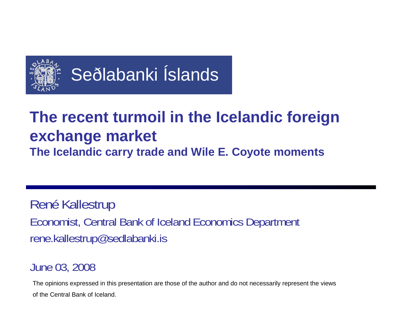

# Seðlabanki Íslands

## **The recent turmoil in the Icelandic foreign exchange market The Icelandic carry trade and Wile E. Coyote moments**

René Kallestrup Economist, Central Bank of Iceland Economics Department rene.kallestrup@sedlabanki.is

## June 03, 2008

The opinions expressed in this presentation are those of the author and do not necessarily represent the views of the Central Bank of Iceland.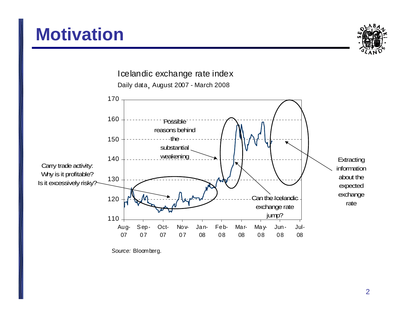Source: Bloamberg.

110

Aug-07

170



Icelandic exchange rate index

Daily data, August 2007 - March 2008

1g- Sep- Oct- No*v*- Jan- Feb- Mar- May- Jun- Jul-<br>7 07 07 08 08 08 08 08 08

exchange rate jump?

# **Motivation**



**Extracting** information about the expected exchange rate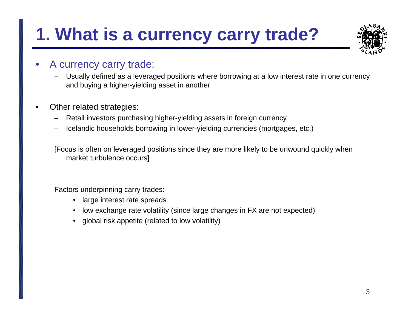# **1. What is a currency carry trade?**



### •A currency carry trade:

- Usually defined as a leveraged positions where borrowing at a low interest rate in one currency and buying a higher-yielding asset in another
- • Other related strategies:
	- Retail investors purchasing higher-yielding assets in foreign currency
	- Icelandic households borrowing in lower-yielding currencies (mortgages, etc.)

[Focus is often on leveraged positions since they are more likely to be unwound quickly when market turbulence occurs]

### Factors underpinning carry trades:

- large interest rate spreads
- low exchange rate volatility (since large changes in FX are not expected)
- •global risk appetite (related to low volatility)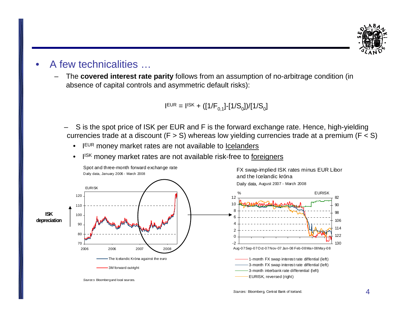

- • A few technicalities …
	- The **covered interest rate parity** follows from an assumption of no-arbitrage condition (in absence of capital controls and asymmetric default risks):

 $I^{EUR} = I^{ISK} + ([1/F_{0.1}] - [1/S_0]) / [1/S_0]$ 

- S is the spot price of ISK per EUR and F is the forward exchange rate. Hence, high-yielding currencies trade at a discount  $(F > S)$  whereas low yielding currencies trade at a premium  $(F < S)$ 
	- $\bullet$ I<sup>EUR</sup> money market rates are not available to Icelanders
	- I<sup>ISK</sup> money market rates are not available risk-free to foreigners •

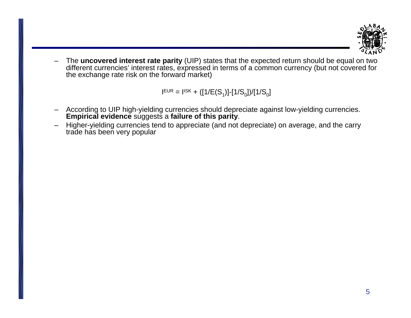

 The **uncovered interest rate parity** (UIP) states that the expected return should be equal on two different currencies' interest rates, expressed in terms of a common currency (but not covered for the exchange rate risk on the forward market)

 $I^{EUR} = I^{ISK} + ([1/E(S_1)] - [1/S_0]) / [1/S_0]$ 

- According to UIP high-yielding currencies should depreciate against low-yielding currencies. **Empirical evidence** suggests a **failure of this parity**.
- Higher-yielding currencies tend to appreciate (and not depreciate) on average, and the carry trade has been very popular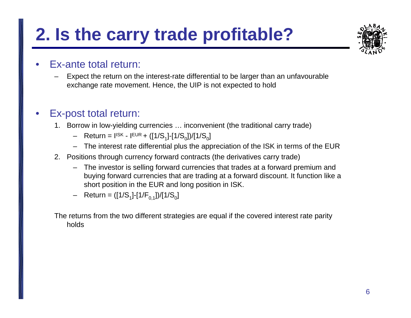# **2. Is the carry trade profitable?**



#### •Ex-ante total return:

 Expect the return on the interest-rate differential to be larger than an unfavourable exchange rate movement. Hence, the UIP is not expected to hold

### •Ex-post total return:

- 1. Borrow in low-yielding currencies … inconvenient (the traditional carry trade)
	- $\,$  Return = I<sup>ISK</sup> I<sup>EUR</sup> + ([1/S<sub>1</sub>]-[1/S<sub>0</sub>])/[1/S<sub>0</sub>]
	- The interest rate differential plus the appreciation of the ISK in terms of the EUR
- 2. Positions through currency forward contracts (the derivatives carry trade)
	- The investor is selling forward currencies that trades at a forward premium and buying forward currencies that are trading at a forward discount. It function like a short position in the EUR and long position in ISK.
	- Return = ([1/S<sub>1</sub>]-[1/F<sub>0,1</sub>])/[1/S<sub>0</sub>]

The returns from the two different strategies are equal if the covered interest rate parity holds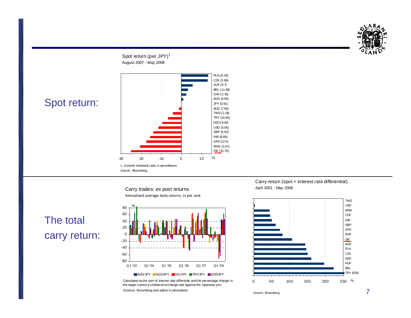

Spot return (per JPY) $<sup>1</sup>$ </sup> August 2007 - May 2008



## Spot return:

The total

carry return:





#### *Sources:* Bloomberg and author's calculations Calculated as the sum of interest rate diffentials and the percentage change in the target currency's bilateral exchange rate against the Japanese yen.

### Carry return (spot + interest rate differential) April 2001 - May 2008



*Source:* Bloomberg.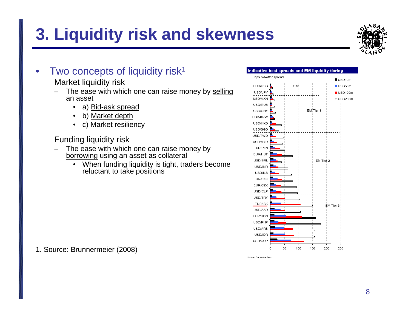# **3. Liquidity risk and skewness**



### •Two concepts of liquidity risk<sup>1</sup>

Market liquidity risk

- – The ease with which one can raise money by selling an asset
	- $\bullet$ a) Bid-ask spread
	- •b) Market depth
	- •c) Market resiliency

Funding liquidity risk

- The ease with which one can raise money by borrowing using an asset as collateral
	- When funding liquidity is tight, traders become reluctant to take positions



1. Source: Brunnermeier (2008)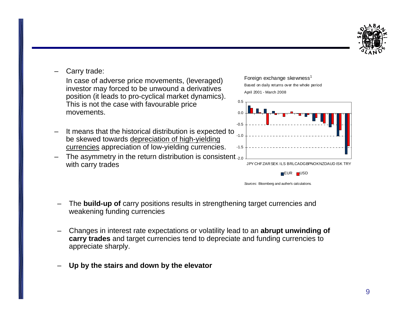

Carry trade:

In case of adverse price movements, (leveraged) investor may forced to be unwound a derivatives position (it leads to pro-cyclical market dynamics). This is not the case with favourable price movements.

- It means that the historical distribution is expected to be skewed towards depreciation of high-yielding currencies appreciation of low-yielding currencies.
- The asymmetry in the return distribution is consistent  $_{2.0}$ with carry trades



EUR ∎USD

*Sources:* Bloomberg and auther's calculations.

- – The **build-up of** carry positions results in strengthening target currencies and weakening funding currencies
- – Changes in interest rate expectations or volatility lead to an **abrupt unwinding of carry trades** and target currencies tend to depreciate and funding currencies to appreciate sharply.
- –**Up by the stairs and down by the elevator**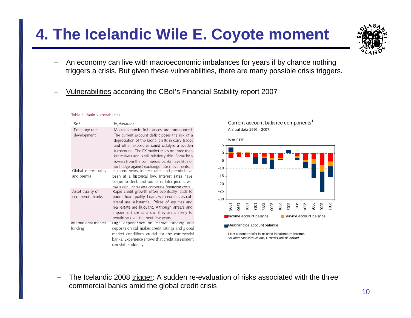## **4. The Icelandic Wile E. Coyote moment**

- An economy can live with macroeconomic imbalances for years if by chance nothing triggers a crisis. But given these vulnerabilities, there are many possible crisis triggers.
- Vulnerabilities according the CBoI's Financial Stability report 2007



#### Table 1 Main vulnerabilities





– The Icelandic 2008 trigger: A sudden re-evaluation of risks associated with the three commercial banks amid the global credit crisis

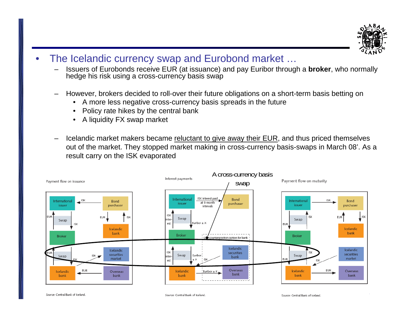

- • The Icelandic currency swap and Eurobond market …
	- Issuers of Eurobonds receive EUR (at issuance) and pay Euribor through a **broker**, who normally hedge his risk using a cross-currency basis swap
	- However, brokers decided to roll-over their future obligations on a short-term basis betting on
		- A more less negative cross-currency basis spreads in the future
		- •Policy rate hikes by the central bank
		- •A liquidity FX swap market
	- Icelandic market makers became reluctant to give away their EUR, and thus priced themselves out of the market. They stopped market making in cross-currency basis-swaps in March 08'. As a result carry on the ISK evaporated



Source: Central Bank of Iceland.

Source: Central Bank of Iceland

Source: Central Bank of Iceland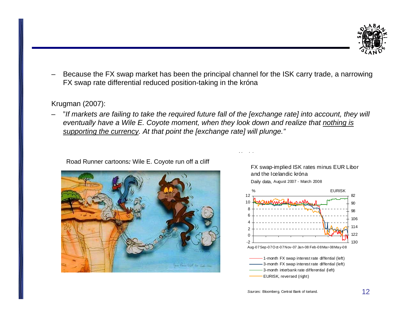

 Because the FX swap market has been the principal channel for the ISK carry trade, a narrowing FX swap rate differential reduced position-taking in the króna

### Krugman (2007):

 "*If markets are failing to take the required future fall of the [exchange rate] into account, they will eventually have a Wile E. Coyote moment, when they look down and realize that nothing is supporting the currency. At that point the [exchange rate] will plunge."*

 $\ddot{\phantom{a}}$ 

Road Runner cartoons*:* Wile E. Coyote run off a cliff



FX swap-implied ISK rates minus EUR Libor and the Icelandic krónaDaily data, August 2007 - March 2008

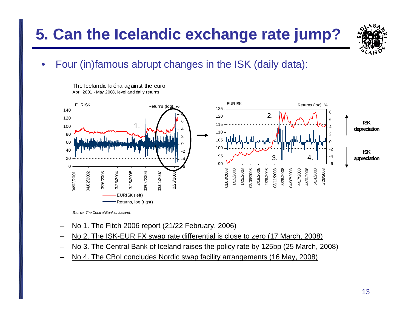## **5. Can the Icelandic exchange rate jump?**



•Four (in)famous abrupt changes in the ISK (daily data):



The Icelandic króna against the euro April 2001 - May 2008, level and daily returns

*Source: The Central Bank of Iceland.*

- No 1. The Fitch 2006 report (21/22 February, 2006)
- No 2. The ISK-EUR FX swap rate differential is close to zero (17 March, 2008)
- No 3. The Central Bank of Iceland raises the policy rate by 125bp (25 March, 2008)
- No 4. The CBoI concludes Nordic swap facility arrangements (16 May, 2008)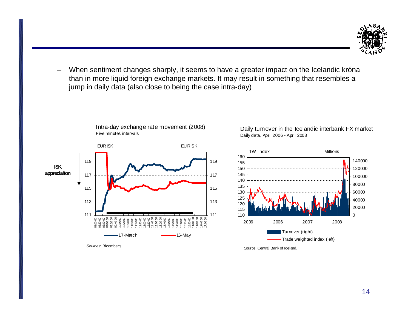

– When sentiment changes sharply, it seems to have a greater impact on the Icelandic króna than in more liquid foreign exchange markets. It may result in something that resembles a jump in daily data (also close to being the case intra-day)



Five minutes intervals

Intra-day exchange rate movement (2008)

*Sources:* Bloomberg

Daily turnover in the Icelandic interbank FX market Daily data, April 2006 - April 2008



Source: Central Bank of Iceland.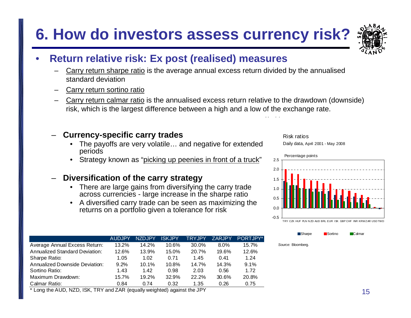## **6. How do investors assess currency risk?**



### •**Return relative risk: Ex post (realised) measures**

- Carry return sharpe ratio is the average annual excess return divided by the annualised standard deviation
- Carry return sortino ratio
- Carry return calmar ratio is the annualised excess return relative to the drawdown (downside) risk, which is the largest difference between a high and a low of the exchange rate.

### **Currency-specific carry trades**

- The payoffs are very volatile… and negative for extended periods
- Strategy known as "<u>picking up peenies in front of a truck</u>"

#### –**Diversification of the carry strategy**

- There are large gains from diversifying the carry trade across currencies - large increase in the sharpe ratio
- A diversified carry trade can be seen as maximizing the returns on a portfolio given a tolerance for risk

| Risk ratios |  |
|-------------|--|
|             |  |

Daily data, April 2001 - May 2008



**Sharpe Bortino Calmar** 

*Source:* Bloomberg.

|                                       | <b>AUDJPY</b> | <b>NZDJPY</b> | <b>ISKJPY</b> | TRYJPY   | <b>ZARJPY</b> | PORTJPY* |
|---------------------------------------|---------------|---------------|---------------|----------|---------------|----------|
| Average Annual Excess Return:         | 13.2%         | 14.2%         | 10.6%         | 30.0%    | $8.0\%$       | 15.7%    |
| <b>Annualized Standard Deviation:</b> | 12.6%         | 13.9%         | 15.0%         | 20.7%    | 19.6%         | 12.6%    |
| Sharpe Ratio:                         | 1.05          | 1.02          | 0.71          | 1.45     | 0.41          | 1.24     |
| <b>Annualized Downside Deviation:</b> | 9.2%          | 10.1%         | 10.8%         | 14.7%    | 14.3%         | 9.1%     |
| Sortino Ratio:                        | 1.43          | 1.42          | 0.98          | 2.03     | 0.56          | 1.72     |
| Maximum Drawdown:                     | 15.7%         | 19.2%         | 32.9%         | $22.2\%$ | 30.6%         | 20.8%    |
| Calmar Ratio:                         | 0.84          | 0.74          | 0.32          | 1.35     | 0.26          | 0.75     |

\* Long the AUD, NZD, ISK, TRY and ZAR (equally weighted) against the JPY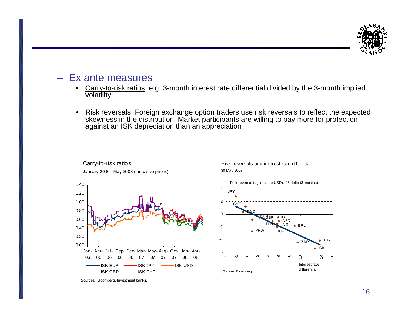

### Ex ante measures

Carry-to-risk ratios

January 2006 - May 2008 (indicative prices)

- • Carry-to-risk ratios: e.g. 3-month interest rate differential divided by the 3-month implied volatility
- •Risk reversals: Foreign exchange option traders use risk reversals to reflect the expected skewness in the distribution. Market participants are willing to pay more for protection against an ISK depreciation than an appreciation



Risk-reversals and interest rate diffential 30 May 2008



Risk-reversal (against the USD), 25-delta (3-months)

*Sources:* Bloomberg, Investment banks.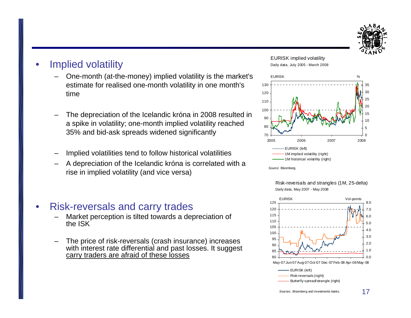

### •Implied volatility

- One-month (at-the-money) implied volatility is the market's estimate for realised one-month volatility in one month's time
- The depreciation of the Icelandic króna in 2008 resulted in a spike in volatility; one-month implied volatility reached 35% and bid-ask spreads widened significantly
- Implied volatilities tend to follow historical volatilities
- A depreciation of the Icelandic króna is correlated with a rise in implied volatility (and vice versa)

#### •Risk-reversals and carry trades

- Market perception is tilted towards a depreciation of the ISK
- The price of risk-reversals (crash insurance) increases with interest rate differential and past losses. It suggest carry traders are afraid of these losses

EURISK implied volatility Daily data, July 2005 - March 2008



*Source:* Bloomberg.



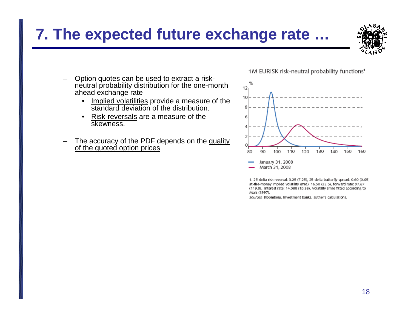## **7. The expected future exchange rate …**

- – Option quotes can be used to extract a riskneutral probability distribution for the one-month ahead exchange rate
	- • Implied volatilities provide a measure of the standard deviation of the distribution.
	- • Risk-reversals are a measure of the skewness.
- –The accuracy of the PDF depends on the <u>quality</u> of the quoted option prices

1M EURISK risk-neutral probability functions<sup>1</sup>



1. 25-delta risk reversal: 3.25 (7.25), 25-delta butterfly spread: 0.60 (0.65) at-the-money Implied volatility (mid): 16.50 (33.5), forward rate: 97.87 (119.8), Interest rate: 14.088 (15.36). Volatility smile fitted according to Malz (1997).

Sources: Bloomberg, Investment banks, auther's calculations.

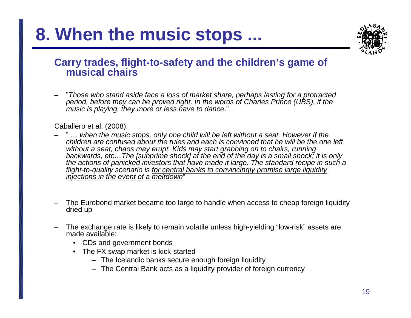## **8. When the music stops ...**



## **Carry trades, flight-to-safety and the children's game of musical chairs**

 "*Those who stand aside face a loss of market share, perhaps lasting for a protracted period, before they can be proved right. In the words of Charles Prince (UBS), if the music is playing, they more or less have to dance*."

### Caballero et al. (2008):

- " *… when the music stops, only one child will be left without a seat. However if the children are confused about the rules and each is convinced that he will be the one left without a seat, chaos may erupt. Kids may start grabbing on to chairs, running backwards, etc…The [subprime shock] at the end of the day is a small shock; it is only the actions of panicked investors that have made it large. The standard recipe in such a flight-to-quality scenario is for central banks to convincingly promise large liquidity injections in the event of a meltdown*"
- The Eurobond market became too large to handle when access to cheap foreign liquidity dried up
- The exchange rate is likely to remain volatile unless high-yielding "low-risk" assets are made available:
	- CDs and government bonds
	- The FX swap market is kick-started
		- The Icelandic banks secure enough foreign liquidity
		- The Central Bank acts as a liquidity provider of foreign currency